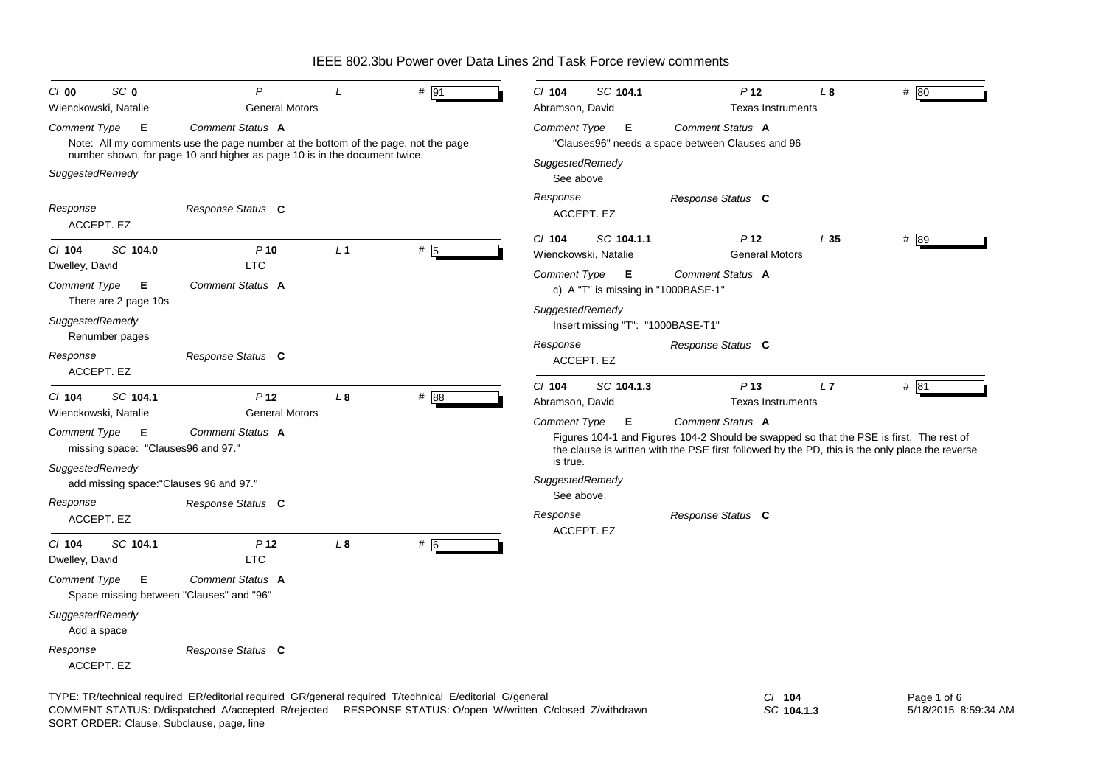| SC <sub>0</sub><br>$Cl$ 00                   | $\mathsf{P}$                                                                                                 |                                         | # 91             | CI 104<br>SC 104.1                                           | P <sub>12</sub>                                                                                                                                                                                                | L <sub>8</sub> | $#$ 80      |
|----------------------------------------------|--------------------------------------------------------------------------------------------------------------|-----------------------------------------|------------------|--------------------------------------------------------------|----------------------------------------------------------------------------------------------------------------------------------------------------------------------------------------------------------------|----------------|-------------|
| Wienckowski, Natalie                         |                                                                                                              | <b>General Motors</b>                   |                  | Abramson, David                                              | <b>Texas Instruments</b>                                                                                                                                                                                       |                |             |
| Comment Type                                 | Comment Status A<br>- E<br>Note: All my comments use the page number at the bottom of the page, not the page |                                         |                  | Comment Type<br>E                                            | Comment Status A<br>"Clauses96" needs a space between Clauses and 96                                                                                                                                           |                |             |
| SuggestedRemedy                              | number shown, for page 10 and higher as page 10 is in the document twice.                                    |                                         |                  | SuggestedRemedy<br>See above                                 |                                                                                                                                                                                                                |                |             |
| Response<br>ACCEPT. EZ                       | Response Status C                                                                                            |                                         |                  | Response<br>ACCEPT. EZ                                       | Response Status C                                                                                                                                                                                              |                |             |
| SC 104.0<br>$Cl$ 104<br>Dwelley, David       | $P$ 10<br><b>LTC</b>                                                                                         | L <sub>1</sub>                          | # $\overline{5}$ | $Cl$ 104<br>SC 104.1.1<br>Wienckowski, Natalie               | P <sub>12</sub><br><b>General Motors</b>                                                                                                                                                                       | L35            | # 89        |
| Comment Type<br>There are 2 page 10s         | Comment Status A<br>Е                                                                                        |                                         |                  | Comment Type <b>E</b><br>c) A "T" is missing in "1000BASE-1" | Comment Status A                                                                                                                                                                                               |                |             |
| SuggestedRemedy<br>Renumber pages            |                                                                                                              |                                         |                  | SuggestedRemedy<br>Insert missing "T": "1000BASE-T1"         |                                                                                                                                                                                                                |                |             |
| Response<br>ACCEPT. EZ                       | Response Status C                                                                                            |                                         |                  | Response<br>ACCEPT. EZ                                       | Response Status C                                                                                                                                                                                              |                |             |
| SC 104.1<br>$Cl$ 104<br>Wienckowski, Natalie | P <sub>12</sub>                                                                                              | L <sub>8</sub><br><b>General Motors</b> | # 88             | SC 104.1.3<br>$Cl$ 104<br>Abramson, David                    | P13<br><b>Texas Instruments</b>                                                                                                                                                                                | L7             | # 81        |
| Comment Type                                 | Comment Status A<br>E<br>missing space: "Clauses96 and 97."                                                  |                                         |                  | Comment Type<br>Е<br>is true.                                | Comment Status A<br>Figures 104-1 and Figures 104-2 Should be swapped so that the PSE is first. The rest of<br>the clause is written with the PSE first followed by the PD, this is the only place the reverse |                |             |
| SuggestedRemedy                              | add missing space: "Clauses 96 and 97."                                                                      |                                         |                  | SuggestedRemedy                                              |                                                                                                                                                                                                                |                |             |
| Response                                     | Response Status C                                                                                            |                                         |                  | See above.<br>Response                                       |                                                                                                                                                                                                                |                |             |
| ACCEPT. EZ                                   |                                                                                                              |                                         |                  | ACCEPT. EZ                                                   | Response Status C                                                                                                                                                                                              |                |             |
| $Cl$ 104<br>SC 104.1<br>Dwelley, David       | P <sub>12</sub><br><b>LTC</b>                                                                                | L <sub>8</sub>                          | #  6             |                                                              |                                                                                                                                                                                                                |                |             |
| Comment Type                                 | Comment Status A<br>Е<br>Space missing between "Clauses" and "96"                                            |                                         |                  |                                                              |                                                                                                                                                                                                                |                |             |
| SuggestedRemedy<br>Add a space               |                                                                                                              |                                         |                  |                                                              |                                                                                                                                                                                                                |                |             |
| Response<br>ACCEPT. EZ                       | Response Status C                                                                                            |                                         |                  |                                                              |                                                                                                                                                                                                                |                |             |
|                                              | TYPE: TR/technical required ER/editorial required GR/general required T/technical E/editorial G/general      |                                         |                  |                                                              | $CI$ 104                                                                                                                                                                                                       |                | Page 1 of 6 |

SORT ORDER: Clause, Subclause, page, line COMMENT STATUS: D/dispatched A/accepted R/rejected RESPONSE STATUS: O/open W/written C/closed Z/withdrawn *SC* **104.1.3**

5/18/2015 8:59:34 AM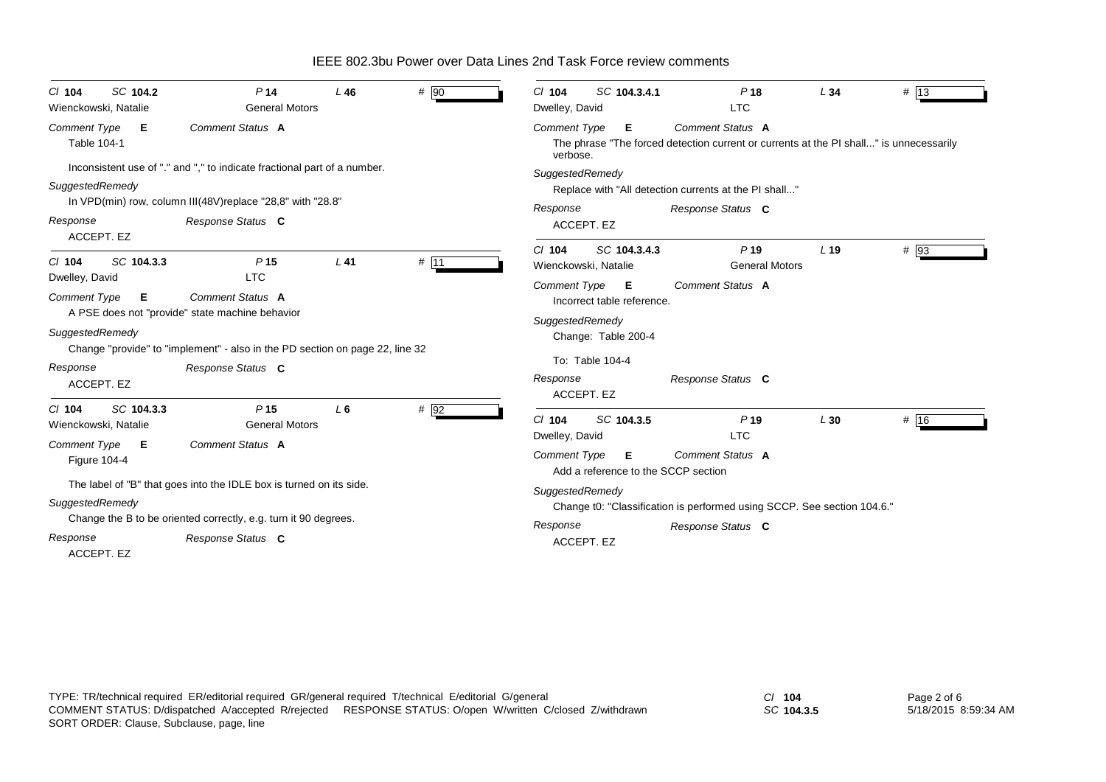| SC 104.2<br>$CI$ 104<br>Wienckowski, Natalie    | P <sub>14</sub><br><b>General Motors</b>                                                                                                                     | L46    | $#$ 90 | SC 104.3.4.1<br>C/ 104<br>Dwelley, David                        | P18<br><b>LTC</b>                                                                                          | L34             | # 13 |
|-------------------------------------------------|--------------------------------------------------------------------------------------------------------------------------------------------------------------|--------|--------|-----------------------------------------------------------------|------------------------------------------------------------------------------------------------------------|-----------------|------|
| Comment Type<br>Е<br>Table 104-1                | Comment Status A                                                                                                                                             |        |        | <b>Comment Type</b><br>Е<br>verbose.                            | Comment Status A<br>The phrase "The forced detection current or currents at the PI shall" is unnecessarily |                 |      |
| SuggestedRemedy<br>Response                     | Inconsistent use of "." and "," to indicate fractional part of a number.<br>In VPD(min) row, column III(48V) replace "28,8" with "28.8"<br>Response Status C |        |        | SuggestedRemedy<br>Response                                     | Replace with "All detection currents at the PI shall"<br>Response Status C                                 |                 |      |
| ACCEPT. EZ                                      |                                                                                                                                                              |        |        | ACCEPT. EZ                                                      |                                                                                                            |                 |      |
| $Cl$ 104<br>SC 104.3.3<br>Dwelley, David        | P <sub>15</sub><br><b>LTC</b>                                                                                                                                | $L$ 41 | # 11   | SC 104.3.4.3<br>$Cl$ 104<br>Wienckowski, Natalie                | P <sub>19</sub><br><b>General Motors</b>                                                                   | L <sub>19</sub> | # 93 |
| Comment Type<br>Е                               | Comment Status A<br>A PSE does not "provide" state machine behavior                                                                                          |        |        | Comment Type <b>E</b><br>Incorrect table reference.             | Comment Status A                                                                                           |                 |      |
| SuggestedRemedy                                 | Change "provide" to "implement" - also in the PD section on page 22, line 32                                                                                 |        |        | SuggestedRemedy<br>Change: Table 200-4                          |                                                                                                            |                 |      |
| Response<br>ACCEPT. EZ                          | Response Status C                                                                                                                                            |        |        | To: Table 104-4<br>Response<br>ACCEPT. EZ                       | Response Status C                                                                                          |                 |      |
| SC 104.3.3<br>$Cl$ 104<br>Wienckowski, Natalie  | P <sub>15</sub><br><b>General Motors</b>                                                                                                                     | $L_6$  | # 92   | SC 104.3.5<br>$Cl$ 104<br>Dwelley, David                        | P <sub>19</sub><br><b>LTC</b>                                                                              | L30             | # 16 |
| <b>Comment Type</b><br>Е<br><b>Figure 104-4</b> | Comment Status A                                                                                                                                             |        |        | <b>Comment Type</b><br>Е<br>Add a reference to the SCCP section | Comment Status A                                                                                           |                 |      |
| SuggestedRemedy                                 | The label of "B" that goes into the IDLE box is turned on its side.                                                                                          |        |        | SuggestedRemedy                                                 | Change t0: "Classification is performed using SCCP. See section 104.6."                                    |                 |      |
| Response<br>ACCEPT. EZ                          | Change the B to be oriented correctly, e.g. turn it 90 degrees.<br>Response Status C                                                                         |        |        | Response<br>ACCEPT. EZ                                          | Response Status C                                                                                          |                 |      |

*SC* **104.3.5**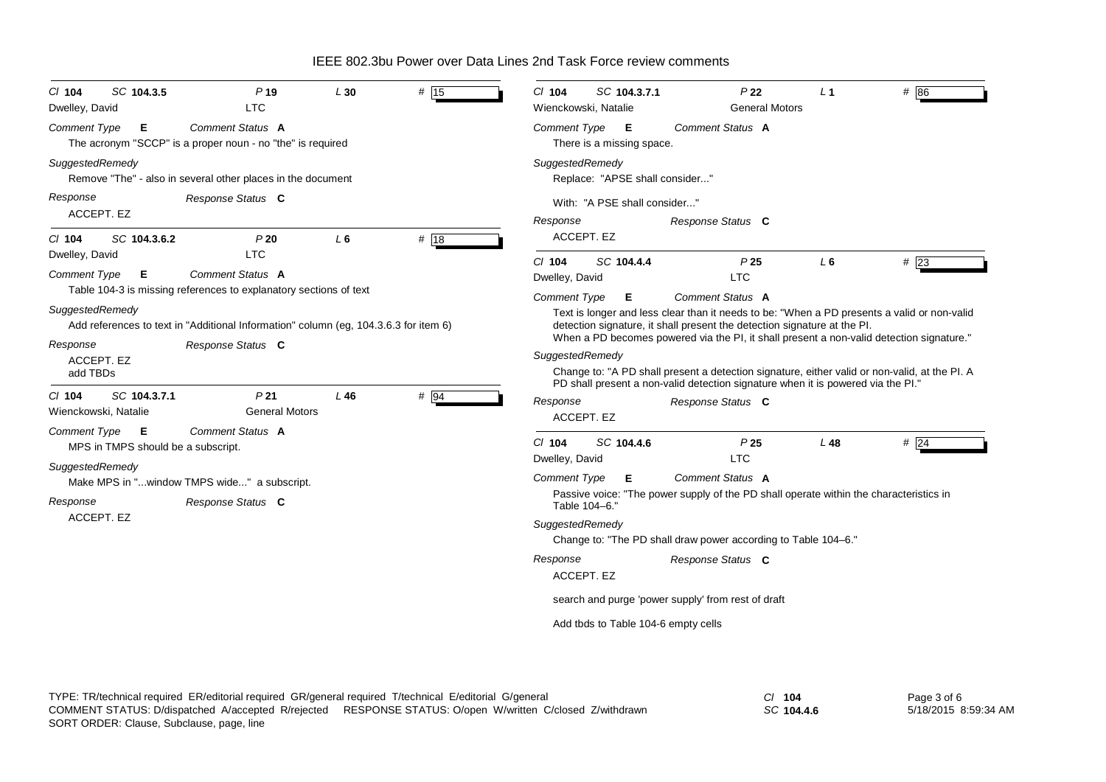| C/ 104<br>Dwelley, David        | SC 104.3.5                              | P <sub>19</sub><br><b>LTC</b>                                                                             | L30   | # 15 | C/ 104<br>Wienckowski, Natalie | SC 104.3.7.1                        | P <sub>22</sub><br><b>General Motors</b>                                                                                                                                                                                                                                                       | $\perp$ 1 | # 86   |
|---------------------------------|-----------------------------------------|-----------------------------------------------------------------------------------------------------------|-------|------|--------------------------------|-------------------------------------|------------------------------------------------------------------------------------------------------------------------------------------------------------------------------------------------------------------------------------------------------------------------------------------------|-----------|--------|
| Comment Type                    | Е                                       | Comment Status A<br>The acronym "SCCP" is a proper noun - no "the" is required                            |       |      | <b>Comment Type</b>            | Е<br>There is a missing space.      | Comment Status A                                                                                                                                                                                                                                                                               |           |        |
| SuggestedRemedy                 |                                         | Remove "The" - also in several other places in the document                                               |       |      | SuggestedRemedy                | Replace: "APSE shall consider"      |                                                                                                                                                                                                                                                                                                |           |        |
| Response                        | ACCEPT. EZ                              | Response Status C                                                                                         |       |      | Response                       | With: "A PSE shall consider"        | Response Status C                                                                                                                                                                                                                                                                              |           |        |
| $CI$ 104                        | SC 104.3.6.2                            | P20                                                                                                       | $L_6$ | # 18 | ACCEPT. EZ                     |                                     |                                                                                                                                                                                                                                                                                                |           |        |
| Dwelley, David<br>Comment Type  | Е                                       | <b>LTC</b><br>Comment Status A<br>Table 104-3 is missing references to explanatory sections of text       |       |      | $Cl$ 104<br>Dwelley, David     | SC 104.4.4                          | P <sub>25</sub><br><b>LTC</b>                                                                                                                                                                                                                                                                  | L6        | #23    |
| SuggestedRemedy<br>Response     |                                         | Add references to text in "Additional Information" column (eg, 104.3.6.3 for item 6)<br>Response Status C |       |      | <b>Comment Type</b>            | Е                                   | <b>Comment Status A</b><br>Text is longer and less clear than it needs to be: "When a PD presents a valid or non-valid<br>detection signature, it shall present the detection signature at the PI.<br>When a PD becomes powered via the PI, it shall present a non-valid detection signature." |           |        |
| add TBDs                        | ACCEPT. EZ                              |                                                                                                           |       |      | SuggestedRemedy                |                                     | Change to: "A PD shall present a detection signature, either valid or non-valid, at the PI. A<br>PD shall present a non-valid detection signature when it is powered via the PI."                                                                                                              |           |        |
| $CI$ 104                        | SC 104.3.7.1<br>Wienckowski, Natalie    | P <sub>21</sub><br><b>General Motors</b>                                                                  | L46   | # 94 | Response<br>ACCEPT. EZ         |                                     | Response Status C                                                                                                                                                                                                                                                                              |           |        |
| Comment Type<br>SuggestedRemedy | E<br>MPS in TMPS should be a subscript. | Comment Status A                                                                                          |       |      | $Cl$ 104<br>Dwelley, David     | SC 104.4.6                          | P25<br><b>LTC</b>                                                                                                                                                                                                                                                                              | $L$ 48    | $#$ 24 |
|                                 |                                         | Make MPS in "window TMPS wide" a subscript.                                                               |       |      | <b>Comment Type</b>            | Е                                   | Comment Status A<br>Passive voice: "The power supply of the PD shall operate within the characteristics in                                                                                                                                                                                     |           |        |
| Response                        |                                         | Response Status C                                                                                         |       |      | Table 104-6."                  |                                     |                                                                                                                                                                                                                                                                                                |           |        |
| ACCEPT. EZ                      |                                         |                                                                                                           |       |      | SuggestedRemedy                |                                     | Change to: "The PD shall draw power according to Table 104-6."                                                                                                                                                                                                                                 |           |        |
|                                 |                                         |                                                                                                           |       |      | Response<br>ACCEPT. EZ         |                                     | Response Status C                                                                                                                                                                                                                                                                              |           |        |
|                                 |                                         |                                                                                                           |       |      |                                |                                     | search and purge 'power supply' from rest of draft                                                                                                                                                                                                                                             |           |        |
|                                 |                                         |                                                                                                           |       |      |                                | Add tbds to Table 104-6 empty cells |                                                                                                                                                                                                                                                                                                |           |        |

*SC* **104.4.6**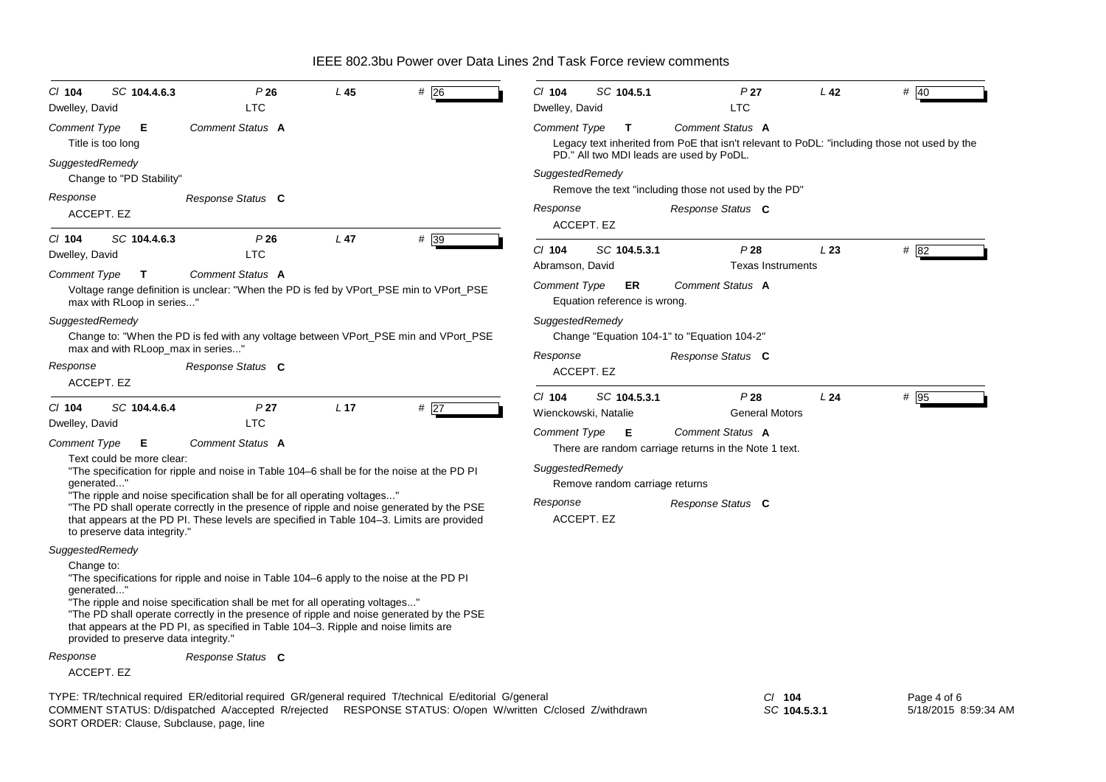| $CI$ 104<br>SC 104.4.6.3<br>Dwelley, David                        | P26<br><b>LTC</b>                                                                                                                                                                                                                                                                                                                                          | L <sub>45</sub> | $#$ 26 | $Cl$ 104<br>Dwelley, David  | SC 104.5.1                           | P <sub>27</sub><br><b>LTC</b>                                                                                                            | L <sub>42</sub> | # 40        |
|-------------------------------------------------------------------|------------------------------------------------------------------------------------------------------------------------------------------------------------------------------------------------------------------------------------------------------------------------------------------------------------------------------------------------------------|-----------------|--------|-----------------------------|--------------------------------------|------------------------------------------------------------------------------------------------------------------------------------------|-----------------|-------------|
| <b>Comment Type</b><br>Е                                          | Comment Status A                                                                                                                                                                                                                                                                                                                                           |                 |        | Comment Type                | T                                    | Comment Status A                                                                                                                         |                 |             |
| Title is too long                                                 |                                                                                                                                                                                                                                                                                                                                                            |                 |        |                             |                                      | Legacy text inherited from PoE that isn't relevant to PoDL: "including those not used by the<br>PD." All two MDI leads are used by PoDL. |                 |             |
| SuggestedRemedy<br>Change to "PD Stability"                       |                                                                                                                                                                                                                                                                                                                                                            |                 |        | SuggestedRemedy             |                                      |                                                                                                                                          |                 |             |
| Response                                                          | Response Status C                                                                                                                                                                                                                                                                                                                                          |                 |        |                             |                                      | Remove the text "including those not used by the PD"                                                                                     |                 |             |
| ACCEPT. EZ                                                        |                                                                                                                                                                                                                                                                                                                                                            |                 |        | Response                    | ACCEPT. EZ                           | Response Status C                                                                                                                        |                 |             |
| SC 104.4.6.3<br>$CI$ 104                                          | P26                                                                                                                                                                                                                                                                                                                                                        | $L$ 47          | #39    | $Cl$ 104                    | SC 104.5.3.1                         | P28                                                                                                                                      | L23             | # 82        |
| Dwelley, David                                                    | LTC                                                                                                                                                                                                                                                                                                                                                        |                 |        | Abramson, David             |                                      | <b>Texas Instruments</b>                                                                                                                 |                 |             |
| Comment Type<br>T<br>max with RLoop in series"                    | Comment Status A<br>Voltage range definition is unclear: "When the PD is fed by VPort_PSE min to VPort_PSE                                                                                                                                                                                                                                                 |                 |        | Comment Type                | ER<br>Equation reference is wrong.   | Comment Status A                                                                                                                         |                 |             |
| SuggestedRemedy<br>max and with RLoop max in series"              | Change to: "When the PD is fed with any voltage between VPort_PSE min and VPort_PSE                                                                                                                                                                                                                                                                        |                 |        | SuggestedRemedy<br>Response |                                      | Change "Equation 104-1" to "Equation 104-2"                                                                                              |                 |             |
| Response<br>ACCEPT. EZ                                            | Response Status C                                                                                                                                                                                                                                                                                                                                          |                 |        |                             | ACCEPT. EZ                           | Response Status C                                                                                                                        |                 |             |
| $CI$ 104<br>SC 104.4.6.4                                          | P <sub>27</sub>                                                                                                                                                                                                                                                                                                                                            | L <sub>17</sub> | #27    | $Cl$ 104                    | SC 104.5.3.1<br>Wienckowski, Natalie | P28<br><b>General Motors</b>                                                                                                             | L24             | # 95        |
| Dwelley, David                                                    | <b>LTC</b>                                                                                                                                                                                                                                                                                                                                                 |                 |        | <b>Comment Type</b>         | - E                                  | Comment Status A                                                                                                                         |                 |             |
| <b>Comment Type</b><br>Е<br>Text could be more clear:             | Comment Status A                                                                                                                                                                                                                                                                                                                                           |                 |        |                             |                                      | There are random carriage returns in the Note 1 text.                                                                                    |                 |             |
| qenerated"                                                        | "The specification for ripple and noise in Table 104–6 shall be for the noise at the PD PI                                                                                                                                                                                                                                                                 |                 |        | SuggestedRemedy             | Remove random carriage returns       |                                                                                                                                          |                 |             |
| to preserve data integrity."                                      | "The ripple and noise specification shall be for all operating voltages"<br>"The PD shall operate correctly in the presence of ripple and noise generated by the PSE<br>that appears at the PD PI. These levels are specified in Table 104-3. Limits are provided                                                                                          |                 |        | Response                    | ACCEPT. EZ                           | Response Status C                                                                                                                        |                 |             |
| SuggestedRemedy                                                   |                                                                                                                                                                                                                                                                                                                                                            |                 |        |                             |                                      |                                                                                                                                          |                 |             |
| Change to:<br>generated"<br>provided to preserve data integrity." | "The specifications for ripple and noise in Table 104–6 apply to the noise at the PD PI<br>"The ripple and noise specification shall be met for all operating voltages"<br>"The PD shall operate correctly in the presence of ripple and noise generated by the PSE<br>that appears at the PD PI, as specified in Table 104-3. Ripple and noise limits are |                 |        |                             |                                      |                                                                                                                                          |                 |             |
| Response                                                          | Response Status C                                                                                                                                                                                                                                                                                                                                          |                 |        |                             |                                      |                                                                                                                                          |                 |             |
| ACCEPT. EZ                                                        |                                                                                                                                                                                                                                                                                                                                                            |                 |        |                             |                                      |                                                                                                                                          |                 |             |
|                                                                   | TYPE: TR/technical required ER/editorial required GR/general required T/technical E/editorial G/general                                                                                                                                                                                                                                                    |                 |        |                             |                                      | $CI$ 104                                                                                                                                 |                 | Page 4 of 6 |

SORT ORDER: Clause, Subclause, page, line COMMENT STATUS: D/dispatched A/accepted R/rejected RESPONSE STATUS: O/open W/written C/closed Z/withdrawn *SC* **104.5.3.1**

Page 4 of 6 5/18/2015 8:59:34 AM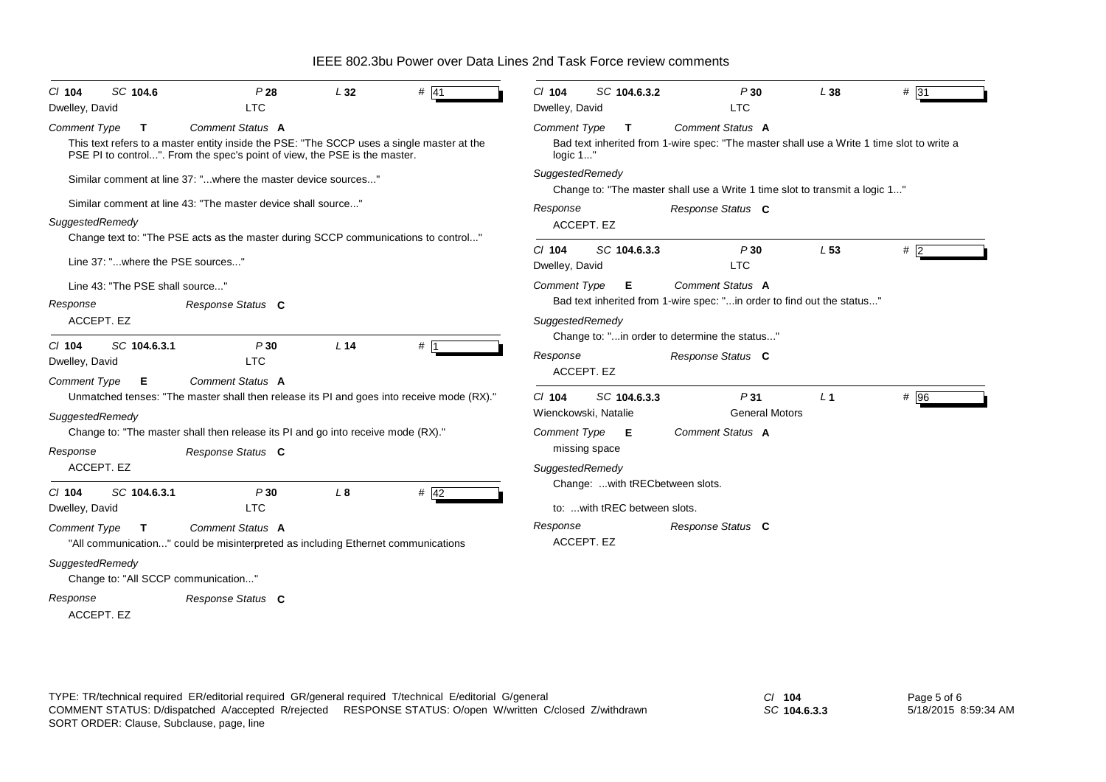| SC 104.6<br>$CI$ 104                                   | P28                                                                                                                                                                    | L32             | # $ 41$ | $CI$ 104                   | SC 104.6.3.2                     | P30                                                                                       | L38             | $# \overline{31}$ |
|--------------------------------------------------------|------------------------------------------------------------------------------------------------------------------------------------------------------------------------|-----------------|---------|----------------------------|----------------------------------|-------------------------------------------------------------------------------------------|-----------------|-------------------|
| Dwelley, David                                         | <b>LTC</b>                                                                                                                                                             |                 |         | Dwelley, David             |                                  | <b>LTC</b>                                                                                |                 |                   |
| <b>Comment Type</b><br>$\mathbf{T}$                    | Comment Status A                                                                                                                                                       |                 |         | <b>Comment Type</b>        | T                                | Comment Status A                                                                          |                 |                   |
|                                                        | This text refers to a master entity inside the PSE: "The SCCP uses a single master at the<br>PSE PI to control". From the spec's point of view, the PSE is the master. |                 |         | logic 1"                   |                                  | Bad text inherited from 1-wire spec: "The master shall use a Write 1 time slot to write a |                 |                   |
|                                                        | Similar comment at line 37: "where the master device sources"                                                                                                          |                 |         | SuggestedRemedy            |                                  | Change to: "The master shall use a Write 1 time slot to transmit a logic 1"               |                 |                   |
|                                                        | Similar comment at line 43: "The master device shall source"                                                                                                           |                 |         | Response                   |                                  | Response Status C                                                                         |                 |                   |
| SuggestedRemedy                                        |                                                                                                                                                                        |                 |         |                            | ACCEPT. EZ                       |                                                                                           |                 |                   |
|                                                        | Change text to: "The PSE acts as the master during SCCP communications to control"                                                                                     |                 |         |                            |                                  |                                                                                           |                 |                   |
| Line 37: "where the PSE sources"                       |                                                                                                                                                                        |                 |         | $Cl$ 104<br>Dwelley, David | SC 104.6.3.3                     | P30<br><b>LTC</b>                                                                         | L <sub>53</sub> | #2                |
| Line 43: "The PSE shall source"                        |                                                                                                                                                                        |                 |         | <b>Comment Type</b>        | E.                               | Comment Status A                                                                          |                 |                   |
| Response                                               | Response Status C                                                                                                                                                      |                 |         |                            |                                  | Bad text inherited from 1-wire spec: "in order to find out the status"                    |                 |                   |
| ACCEPT. EZ                                             |                                                                                                                                                                        |                 |         | SuggestedRemedy            |                                  |                                                                                           |                 |                   |
| SC 104.6.3.1                                           |                                                                                                                                                                        | L <sub>14</sub> |         |                            |                                  | Change to: "in order to determine the status"                                             |                 |                   |
| $CI$ 104<br>Dwelley, David                             | P30<br><b>LTC</b>                                                                                                                                                      |                 | #       | Response                   | ACCEPT. EZ                       | Response Status C                                                                         |                 |                   |
| <b>Comment Type</b><br>Е                               | Comment Status A                                                                                                                                                       |                 |         |                            |                                  |                                                                                           |                 |                   |
|                                                        | Unmatched tenses: "The master shall then release its PI and goes into receive mode (RX)."                                                                              |                 |         | $CI$ 104                   | SC 104.6.3.3                     | P <sub>31</sub>                                                                           | L <sub>1</sub>  | # 96              |
| SuggestedRemedy                                        |                                                                                                                                                                        |                 |         |                            | Wienckowski, Natalie             | <b>General Motors</b>                                                                     |                 |                   |
|                                                        | Change to: "The master shall then release its PI and go into receive mode (RX)."                                                                                       |                 |         | <b>Comment Type</b>        | E                                | Comment Status A                                                                          |                 |                   |
| Response                                               | Response Status C                                                                                                                                                      |                 |         |                            | missing space                    |                                                                                           |                 |                   |
| ACCEPT. EZ                                             |                                                                                                                                                                        |                 |         | SuggestedRemedy            |                                  |                                                                                           |                 |                   |
| SC 104.6.3.1<br>C/ 104                                 | P30                                                                                                                                                                    | L8              | # $42$  |                            | Change:  with tRECbetween slots. |                                                                                           |                 |                   |
| Dwelley, David                                         | <b>LTC</b>                                                                                                                                                             |                 |         |                            | to:  with tREC between slots.    |                                                                                           |                 |                   |
| Comment Type<br>T.                                     | Comment Status A                                                                                                                                                       |                 |         | Response                   |                                  | Response Status C                                                                         |                 |                   |
|                                                        | "All communication" could be misinterpreted as including Ethernet communications                                                                                       |                 |         |                            | ACCEPT. EZ                       |                                                                                           |                 |                   |
| SuggestedRemedy<br>Change to: "All SCCP communication" |                                                                                                                                                                        |                 |         |                            |                                  |                                                                                           |                 |                   |
| Response                                               | Response Status C                                                                                                                                                      |                 |         |                            |                                  |                                                                                           |                 |                   |
| ACCEPT. EZ                                             |                                                                                                                                                                        |                 |         |                            |                                  |                                                                                           |                 |                   |

*SC* **104.6.3.3**